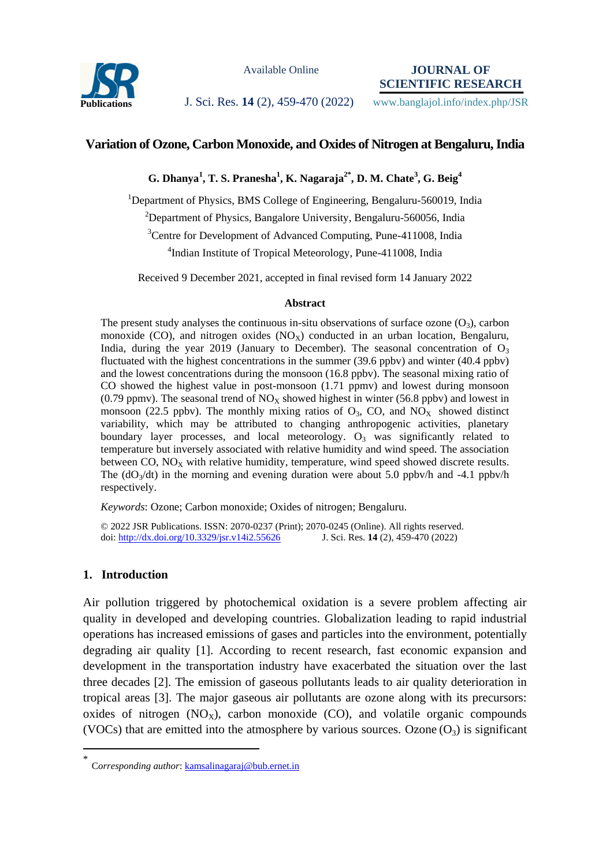

Available Online

**JOURNAL OF SCIENTIFIC RESEARCH**

Publications **J. Sci. Res. 14** (2), 459-470 (2022) www.banglajol.info/index.php/JSR

# **Variation of Ozone, Carbon Monoxide, and Oxides of Nitrogen at Bengaluru, India**

**G. Dhanya<sup>1</sup> , T. S. Pranesha<sup>1</sup> , K. Nagaraja2\* , D. M. Chate<sup>3</sup> , G. Beig<sup>4</sup>**

<sup>1</sup>Department of Physics, BMS College of Engineering, Bengaluru-560019, India <sup>2</sup>Department of Physics, Bangalore University, Bengaluru-560056, India <sup>3</sup>Centre for Development of Advanced Computing, Pune-411008, India 4 Indian Institute of Tropical Meteorology, Pune-411008, India

Received 9 December 2021, accepted in final revised form 14 January 2022

#### **Abstract**

The present study analyses the continuous in-situ observations of surface ozone  $(O_3)$ , carbon monoxide (CO), and nitrogen oxides  $(NO_X)$  conducted in an urban location, Bengaluru, India, during the year 2019 (January to December). The seasonal concentration of  $O_3$ fluctuated with the highest concentrations in the summer (39.6 ppbv) and winter (40.4 ppbv) and the lowest concentrations during the monsoon (16.8 ppbv). The seasonal mixing ratio of CO showed the highest value in post-monsoon (1.71 ppmv) and lowest during monsoon (0.79 ppmv). The seasonal trend of  $NO<sub>X</sub>$  showed highest in winter (56.8 ppbv) and lowest in monsoon (22.5 ppbv). The monthly mixing ratios of  $O_3$ , CO, and  $NO_X$  showed distinct variability, which may be attributed to changing anthropogenic activities, planetary boundary layer processes, and local meteorology.  $O_3$  was significantly related to temperature but inversely associated with relative humidity and wind speed. The association between  $CO$ ,  $NO<sub>x</sub>$  with relative humidity, temperature, wind speed showed discrete results. The  $(dO_3/dt)$  in the morning and evening duration were about 5.0 ppbv/h and -4.1 ppbv/h respectively.

*Keywords*: Ozone; Carbon monoxide; Oxides of nitrogen; Bengaluru.

© 2022 JSR Publications. ISSN: 2070-0237 (Print); 2070-0245 (Online). All rights reserved. doi:<http://dx.doi.org/10.3329/jsr.v14i2.55626>J. Sci. Res. **14** (2), 459-470 (2022)

## **1. Introduction**

 $\overline{a}$ 

Air pollution triggered by photochemical oxidation is a severe problem affecting air quality in developed and developing countries. Globalization leading to rapid industrial operations has increased emissions of gases and particles into the environment, potentially degrading air quality [1]. According to recent research, fast economic expansion and development in the transportation industry have exacerbated the situation over the last three decades [2]. The emission of gaseous pollutants leads to air quality deterioration in tropical areas [3]. The major gaseous air pollutants are ozone along with its precursors: oxides of nitrogen  $(NO_x)$ , carbon monoxide  $(CO)$ , and volatile organic compounds (VOCs) that are emitted into the atmosphere by various sources. Ozone  $(O_3)$  is significant

<sup>\*</sup> C*orresponding author*[: kamsalinagaraj@bub.ernet.in](mailto:kamsalinagaraj@bub.ernet.in)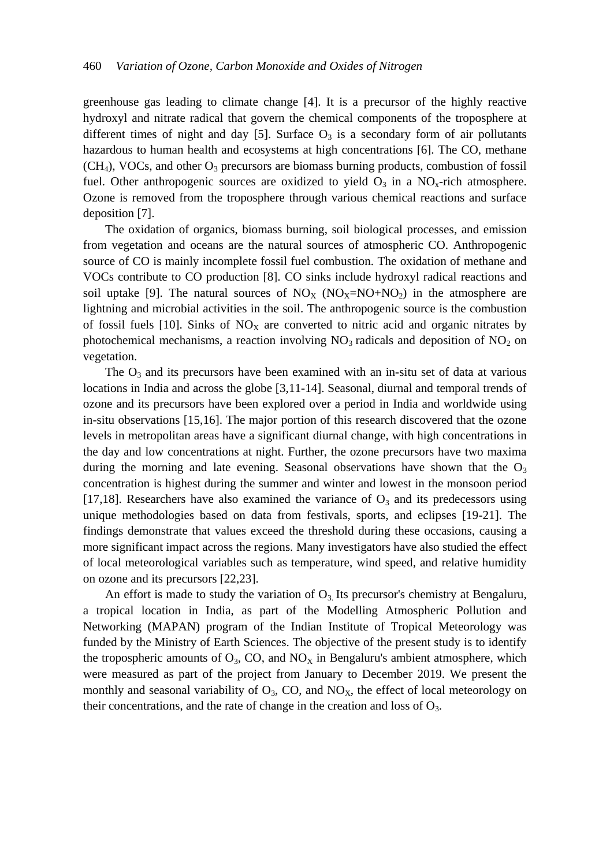greenhouse gas leading to climate change [4]. It is a precursor of the highly reactive hydroxyl and nitrate radical that govern the chemical components of the troposphere at different times of night and day [5]. Surface  $O_3$  is a secondary form of air pollutants hazardous to human health and ecosystems at high concentrations [6]. The CO, methane  $(CH<sub>4</sub>)$ , VOCs, and other  $O<sub>3</sub>$  precursors are biomass burning products, combustion of fossil fuel. Other anthropogenic sources are oxidized to yield  $O_3$  in a NO<sub>x</sub>-rich atmosphere. Ozone is removed from the troposphere through various chemical reactions and surface deposition [7].

The oxidation of organics, biomass burning, soil biological processes, and emission from vegetation and oceans are the natural sources of atmospheric CO. Anthropogenic source of CO is mainly incomplete fossil fuel combustion. The oxidation of methane and VOCs contribute to CO production [8]. CO sinks include hydroxyl radical reactions and soil uptake [9]. The natural sources of  $NO_X (NO_X=NO+NO_2)$  in the atmosphere are lightning and microbial activities in the soil. The anthropogenic source is the combustion of fossil fuels [10]. Sinks of  $NO<sub>X</sub>$  are converted to nitric acid and organic nitrates by photochemical mechanisms, a reaction involving  $NO<sub>3</sub>$  radicals and deposition of  $NO<sub>2</sub>$  on vegetation.

The  $O_3$  and its precursors have been examined with an in-situ set of data at various locations in India and across the globe [3,11-14]. Seasonal, diurnal and temporal trends of ozone and its precursors have been explored over a period in India and worldwide using in-situ observations [15,16]. The major portion of this research discovered that the ozone levels in metropolitan areas have a significant diurnal change, with high concentrations in the day and low concentrations at night. Further, the ozone precursors have two maxima during the morning and late evening. Seasonal observations have shown that the  $O_3$ concentration is highest during the summer and winter and lowest in the monsoon period [17,18]. Researchers have also examined the variance of  $O<sub>3</sub>$  and its predecessors using unique methodologies based on data from festivals, sports, and eclipses [19-21]. The findings demonstrate that values exceed the threshold during these occasions, causing a more significant impact across the regions. Many investigators have also studied the effect of local meteorological variables such as temperature, wind speed, and relative humidity on ozone and its precursors [22,23].

An effort is made to study the variation of  $O_3$ . Its precursor's chemistry at Bengaluru, a tropical location in India, as part of the Modelling Atmospheric Pollution and Networking (MAPAN) program of the Indian Institute of Tropical Meteorology was funded by the Ministry of Earth Sciences. The objective of the present study is to identify the tropospheric amounts of  $O_3$ , CO, and NO<sub>X</sub> in Bengaluru's ambient atmosphere, which were measured as part of the project from January to December 2019. We present the monthly and seasonal variability of  $O_3$ , CO, and NO<sub>X</sub>, the effect of local meteorology on their concentrations, and the rate of change in the creation and loss of  $O_3$ .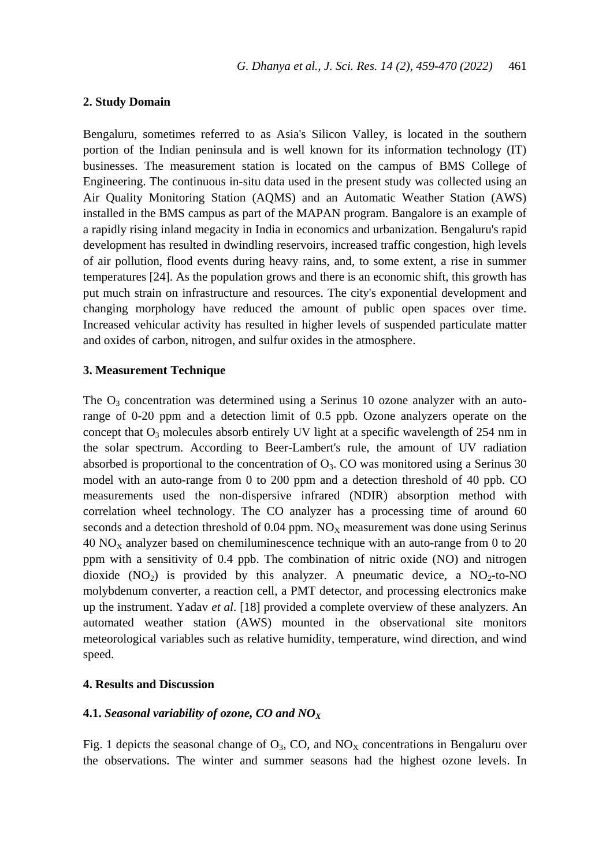#### **2. Study Domain**

Bengaluru, sometimes referred to as Asia's Silicon Valley, is located in the southern portion of the Indian peninsula and is well known for its information technology (IT) businesses. The measurement station is located on the campus of BMS College of Engineering. The continuous in-situ data used in the present study was collected using an Air Quality Monitoring Station (AQMS) and an Automatic Weather Station (AWS) installed in the BMS campus as part of the MAPAN program. Bangalore is an example of a rapidly rising inland megacity in India in economics and urbanization. Bengaluru's rapid development has resulted in dwindling reservoirs, increased traffic congestion, high levels of air pollution, flood events during heavy rains, and, to some extent, a rise in summer temperatures [24]. As the population grows and there is an economic shift, this growth has put much strain on infrastructure and resources. The city's exponential development and changing morphology have reduced the amount of public open spaces over time. Increased vehicular activity has resulted in higher levels of suspended particulate matter and oxides of carbon, nitrogen, and sulfur oxides in the atmosphere.

## **3. Measurement Technique**

The  $O_3$  concentration was determined using a Serinus 10 ozone analyzer with an autorange of 0-20 ppm and a detection limit of 0.5 ppb. Ozone analyzers operate on the concept that  $O_3$  molecules absorb entirely UV light at a specific wavelength of 254 nm in the solar spectrum. According to Beer-Lambert's rule, the amount of UV radiation absorbed is proportional to the concentration of  $O_3$ . CO was monitored using a Serinus 30 model with an auto-range from 0 to 200 ppm and a detection threshold of 40 ppb. CO measurements used the non-dispersive infrared (NDIR) absorption method with correlation wheel technology. The CO analyzer has a processing time of around 60 seconds and a detection threshold of  $0.04$  ppm.  $NO<sub>x</sub>$  measurement was done using Serinus  $40$  NO<sub>x</sub> analyzer based on chemiluminescence technique with an auto-range from 0 to 20 ppm with a sensitivity of 0.4 ppb. The combination of nitric oxide (NO) and nitrogen dioxide  $(NO_2)$  is provided by this analyzer. A pneumatic device, a  $NO_2$ -to-NO molybdenum converter, a reaction cell, a PMT detector, and processing electronics make up the instrument. Yadav *et al*. [18] provided a complete overview of these analyzers. An automated weather station (AWS) mounted in the observational site monitors meteorological variables such as relative humidity, temperature, wind direction, and wind speed.

## **4. Results and Discussion**

#### **4.1.** *Seasonal variability of ozone, CO and NO<sup>X</sup>*

Fig. 1 depicts the seasonal change of  $O_3$ , CO, and  $NO<sub>X</sub>$  concentrations in Bengaluru over the observations. The winter and summer seasons had the highest ozone levels. In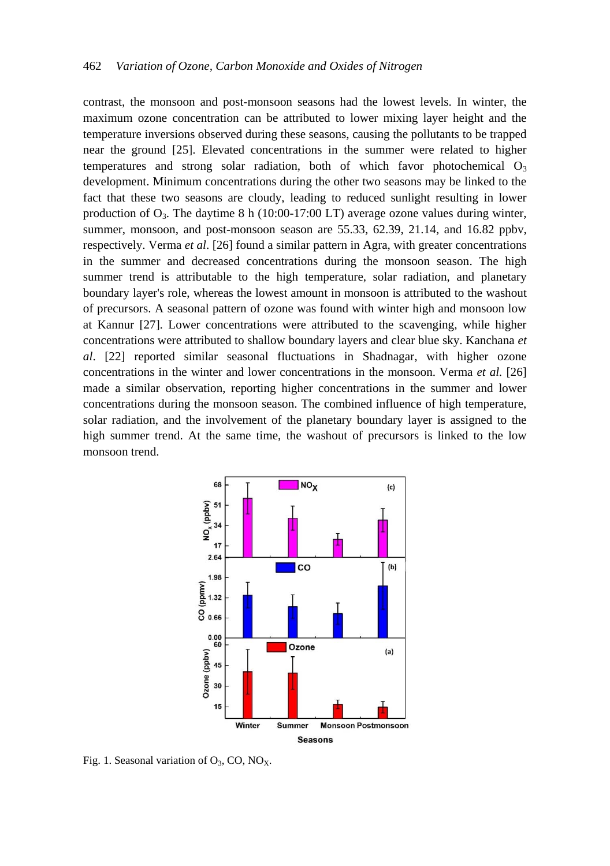contrast, the monsoon and post-monsoon seasons had the lowest levels. In winter, the maximum ozone concentration can be attributed to lower mixing layer height and the temperature inversions observed during these seasons, causing the pollutants to be trapped near the ground [25]. Elevated concentrations in the summer were related to higher temperatures and strong solar radiation, both of which favor photochemical  $O_3$ development. Minimum concentrations during the other two seasons may be linked to the fact that these two seasons are cloudy, leading to reduced sunlight resulting in lower production of  $O_3$ . The daytime 8 h (10:00-17:00 LT) average ozone values during winter, summer, monsoon, and post-monsoon season are 55.33, 62.39, 21.14, and 16.82 ppbv, respectively. Verma *et al*. [26] found a similar pattern in Agra, with greater concentrations in the summer and decreased concentrations during the monsoon season. The high summer trend is attributable to the high temperature, solar radiation, and planetary boundary layer's role, whereas the lowest amount in monsoon is attributed to the washout of precursors. A seasonal pattern of ozone was found with winter high and monsoon low at Kannur [27]. Lower concentrations were attributed to the scavenging, while higher concentrations were attributed to shallow boundary layers and clear blue sky. Kanchana *et al*. [22] reported similar seasonal fluctuations in Shadnagar, with higher ozone concentrations in the winter and lower concentrations in the monsoon. Verma *et al.* [26] made a similar observation, reporting higher concentrations in the summer and lower concentrations during the monsoon season. The combined influence of high temperature, solar radiation, and the involvement of the planetary boundary layer is assigned to the high summer trend. At the same time, the washout of precursors is linked to the low monsoon trend.



Fig. 1. Seasonal variation of  $O_3$ , CO, NO<sub>X</sub>.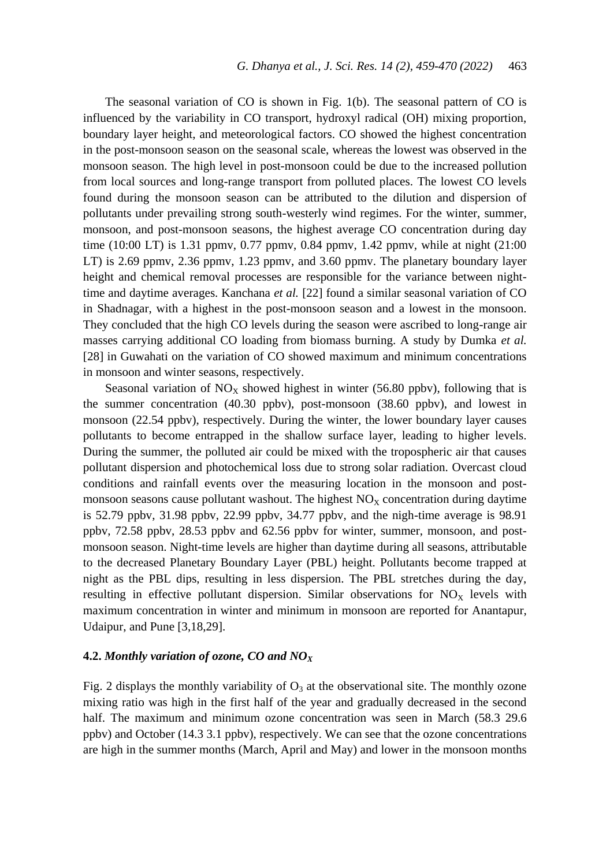The seasonal variation of CO is shown in Fig. 1(b). The seasonal pattern of CO is influenced by the variability in CO transport, hydroxyl radical (OH) mixing proportion, boundary layer height, and meteorological factors. CO showed the highest concentration in the post-monsoon season on the seasonal scale, whereas the lowest was observed in the monsoon season. The high level in post-monsoon could be due to the increased pollution from local sources and long-range transport from polluted places. The lowest CO levels found during the monsoon season can be attributed to the dilution and dispersion of pollutants under prevailing strong south-westerly wind regimes. For the winter, summer, monsoon, and post-monsoon seasons, the highest average CO concentration during day time (10:00 LT) is 1.31 ppmv, 0.77 ppmv, 0.84 ppmv, 1.42 ppmv, while at night (21:00 LT) is 2.69 ppmv, 2.36 ppmv, 1.23 ppmv, and 3.60 ppmv. The planetary boundary layer height and chemical removal processes are responsible for the variance between nighttime and daytime averages. Kanchana *et al.* [22] found a similar seasonal variation of CO in Shadnagar, with a highest in the post-monsoon season and a lowest in the monsoon. They concluded that the high CO levels during the season were ascribed to long-range air masses carrying additional CO loading from biomass burning. A study by Dumka *et al.* [28] in Guwahati on the variation of CO showed maximum and minimum concentrations in monsoon and winter seasons, respectively.

Seasonal variation of  $NO<sub>X</sub>$  showed highest in winter (56.80 ppbv), following that is the summer concentration (40.30 ppbv), post-monsoon (38.60 ppbv), and lowest in monsoon (22.54 ppbv), respectively. During the winter, the lower boundary layer causes pollutants to become entrapped in the shallow surface layer, leading to higher levels. During the summer, the polluted air could be mixed with the tropospheric air that causes pollutant dispersion and photochemical loss due to strong solar radiation. Overcast cloud conditions and rainfall events over the measuring location in the monsoon and postmonsoon seasons cause pollutant washout. The highest  $NO<sub>X</sub>$  concentration during daytime is 52.79 ppbv, 31.98 ppbv, 22.99 ppbv, 34.77 ppbv, and the nigh-time average is 98.91 ppbv, 72.58 ppbv, 28.53 ppbv and 62.56 ppbv for winter, summer, monsoon, and postmonsoon season. Night-time levels are higher than daytime during all seasons, attributable to the decreased Planetary Boundary Layer (PBL) height. Pollutants become trapped at night as the PBL dips, resulting in less dispersion. The PBL stretches during the day, resulting in effective pollutant dispersion. Similar observations for  $NO<sub>X</sub>$  levels with maximum concentration in winter and minimum in monsoon are reported for Anantapur, Udaipur, and Pune [3,18,29].

# **4.2.** *Monthly variation of ozone, CO and NO<sup>X</sup>*

Fig. 2 displays the monthly variability of  $O_3$  at the observational site. The monthly ozone mixing ratio was high in the first half of the year and gradually decreased in the second half. The maximum and minimum ozone concentration was seen in March (58.3 29.6) ppbv) and October (14.3 3.1 ppbv), respectively. We can see that the ozone concentrations are high in the summer months (March, April and May) and lower in the monsoon months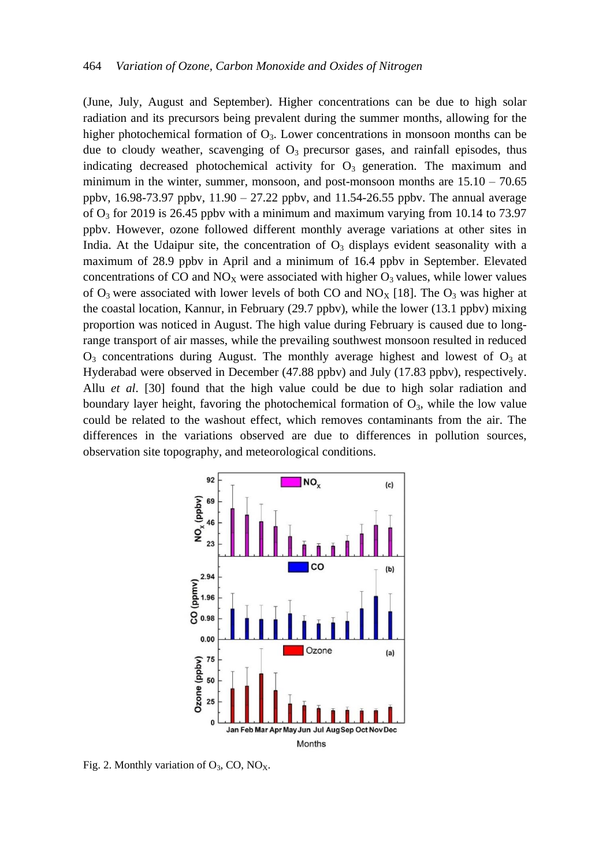(June, July, August and September). Higher concentrations can be due to high solar radiation and its precursors being prevalent during the summer months, allowing for the higher photochemical formation of  $O_3$ . Lower concentrations in monsoon months can be due to cloudy weather, scavenging of  $O_3$  precursor gases, and rainfall episodes, thus indicating decreased photochemical activity for  $O_3$  generation. The maximum and minimum in the winter, summer, monsoon, and post-monsoon months are  $15.10 - 70.65$ ppbv,  $16.98-73.97$  ppbv,  $11.90 - 27.22$  ppbv, and  $11.54-26.55$  ppbv. The annual average of  $O_3$  for 2019 is 26.45 ppby with a minimum and maximum varying from 10.14 to 73.97 ppbv. However, ozone followed different monthly average variations at other sites in India. At the Udaipur site, the concentration of  $O<sub>3</sub>$  displays evident seasonality with a maximum of 28.9 ppbv in April and a minimum of 16.4 ppbv in September. Elevated concentrations of CO and  $NO<sub>X</sub>$  were associated with higher  $O<sub>3</sub>$  values, while lower values of  $O_3$  were associated with lower levels of both CO and  $NO<sub>X</sub>$  [18]. The  $O_3$  was higher at the coastal location, Kannur, in February (29.7 ppbv), while the lower (13.1 ppbv) mixing proportion was noticed in August. The high value during February is caused due to longrange transport of air masses, while the prevailing southwest monsoon resulted in reduced  $O_3$  concentrations during August. The monthly average highest and lowest of  $O_3$  at Hyderabad were observed in December (47.88 ppbv) and July (17.83 ppbv), respectively. Allu *et al*. [30] found that the high value could be due to high solar radiation and boundary layer height, favoring the photochemical formation of  $O_3$ , while the low value could be related to the washout effect, which removes contaminants from the air. The differences in the variations observed are due to differences in pollution sources, observation site topography, and meteorological conditions.



Fig. 2. Monthly variation of  $O_3$ , CO, NO<sub>x</sub>.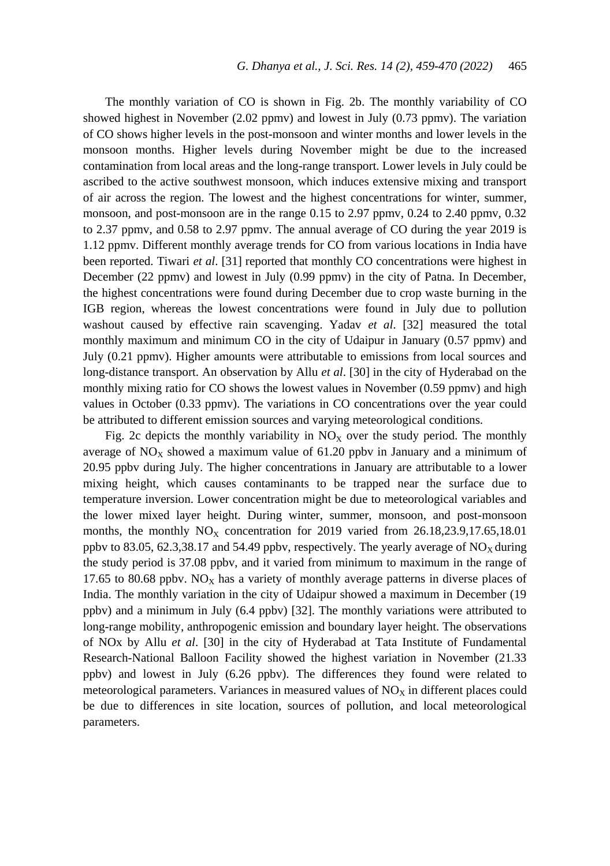The monthly variation of CO is shown in Fig. 2b. The monthly variability of CO showed highest in November (2.02 ppmv) and lowest in July (0.73 ppmv). The variation of CO shows higher levels in the post-monsoon and winter months and lower levels in the monsoon months. Higher levels during November might be due to the increased contamination from local areas and the long-range transport. Lower levels in July could be ascribed to the active southwest monsoon, which induces extensive mixing and transport of air across the region. The lowest and the highest concentrations for winter, summer, monsoon, and post-monsoon are in the range 0.15 to 2.97 ppmv, 0.24 to 2.40 ppmv, 0.32 to 2.37 ppmv, and 0.58 to 2.97 ppmv. The annual average of CO during the year 2019 is 1.12 ppmv. Different monthly average trends for CO from various locations in India have been reported. Tiwari *et al*. [31] reported that monthly CO concentrations were highest in December (22 ppmv) and lowest in July (0.99 ppmv) in the city of Patna. In December, the highest concentrations were found during December due to crop waste burning in the IGB region, whereas the lowest concentrations were found in July due to pollution washout caused by effective rain scavenging. Yadav *et al*. [32] measured the total monthly maximum and minimum CO in the city of Udaipur in January (0.57 ppmv) and July (0.21 ppmv). Higher amounts were attributable to emissions from local sources and long-distance transport. An observation by Allu *et al*. [30] in the city of Hyderabad on the monthly mixing ratio for CO shows the lowest values in November (0.59 ppmv) and high values in October (0.33 ppmv). The variations in CO concentrations over the year could be attributed to different emission sources and varying meteorological conditions.

Fig. 2c depicts the monthly variability in  $NO<sub>x</sub>$  over the study period. The monthly average of  $NO<sub>X</sub>$  showed a maximum value of 61.20 ppbv in January and a minimum of 20.95 ppbv during July. The higher concentrations in January are attributable to a lower mixing height, which causes contaminants to be trapped near the surface due to temperature inversion. Lower concentration might be due to meteorological variables and the lower mixed layer height. During winter, summer, monsoon, and post-monsoon months, the monthly  $NO<sub>X</sub>$  concentration for 2019 varied from 26.18,23.9,17.65,18.01 ppbv to 83.05, 62.3,38.17 and 54.49 ppbv, respectively. The yearly average of  $NO<sub>X</sub>$  during the study period is 37.08 ppbv, and it varied from minimum to maximum in the range of 17.65 to 80.68 ppbv.  $NO<sub>X</sub>$  has a variety of monthly average patterns in diverse places of India. The monthly variation in the city of Udaipur showed a maximum in December (19 ppbv) and a minimum in July (6.4 ppbv) [32]. The monthly variations were attributed to long-range mobility, anthropogenic emission and boundary layer height. The observations of NOx by Allu *et al*. [30] in the city of Hyderabad at Tata Institute of Fundamental Research-National Balloon Facility showed the highest variation in November (21.33 ppbv) and lowest in July (6.26 ppbv). The differences they found were related to meteorological parameters. Variances in measured values of  $NO<sub>X</sub>$  in different places could be due to differences in site location, sources of pollution, and local meteorological parameters.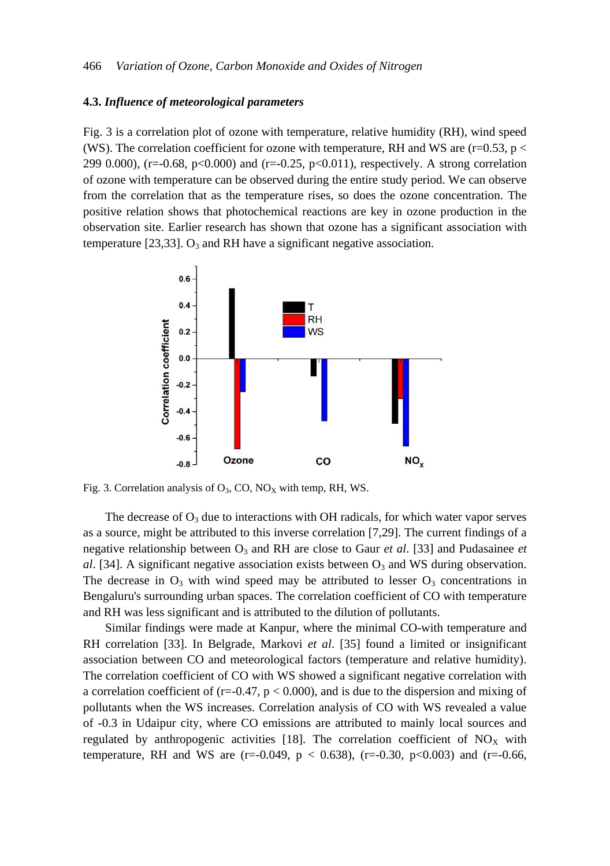## **4.3.** *Influence of meteorological parameters*

Fig. 3 is a correlation plot of ozone with temperature, relative humidity (RH), wind speed (WS). The correlation coefficient for ozone with temperature, RH and WS are (r=0.53, p  $\lt$ 299 0.000), (r=-0.68, p<0.000) and (r=-0.25, p<0.011), respectively. A strong correlation of ozone with temperature can be observed during the entire study period. We can observe from the correlation that as the temperature rises, so does the ozone concentration. The positive relation shows that photochemical reactions are key in ozone production in the observation site. Earlier research has shown that ozone has a significant association with temperature [23,33].  $O_3$  and RH have a significant negative association.



Fig. 3. Correlation analysis of  $O_3$ , CO, NO<sub>X</sub> with temp, RH, WS.

The decrease of  $O_3$  due to interactions with OH radicals, for which water vapor serves as a source, might be attributed to this inverse correlation [7,29]. The current findings of a negative relationship between O<sup>3</sup> and RH are close to Gaur *et al*. [33] and Pudasainee *et al.* [34]. A significant negative association exists between  $O_3$  and WS during observation. The decrease in  $O_3$  with wind speed may be attributed to lesser  $O_3$  concentrations in Bengaluru's surrounding urban spaces. The correlation coefficient of CO with temperature and RH was less significant and is attributed to the dilution of pollutants.

Similar findings were made at Kanpur, where the minimal CO-with temperature and RH correlation [33]. In Belgrade, Markovi *et al*. [35] found a limited or insignificant association between CO and meteorological factors (temperature and relative humidity). The correlation coefficient of CO with WS showed a significant negative correlation with a correlation coefficient of ( $r=-0.47$ ,  $p < 0.000$ ), and is due to the dispersion and mixing of pollutants when the WS increases. Correlation analysis of CO with WS revealed a value of -0.3 in Udaipur city, where CO emissions are attributed to mainly local sources and regulated by anthropogenic activities [18]. The correlation coefficient of  $NO<sub>X</sub>$  with temperature, RH and WS are (r=-0.049,  $p < 0.638$ ), (r=-0.30, p<0.003) and (r=-0.66,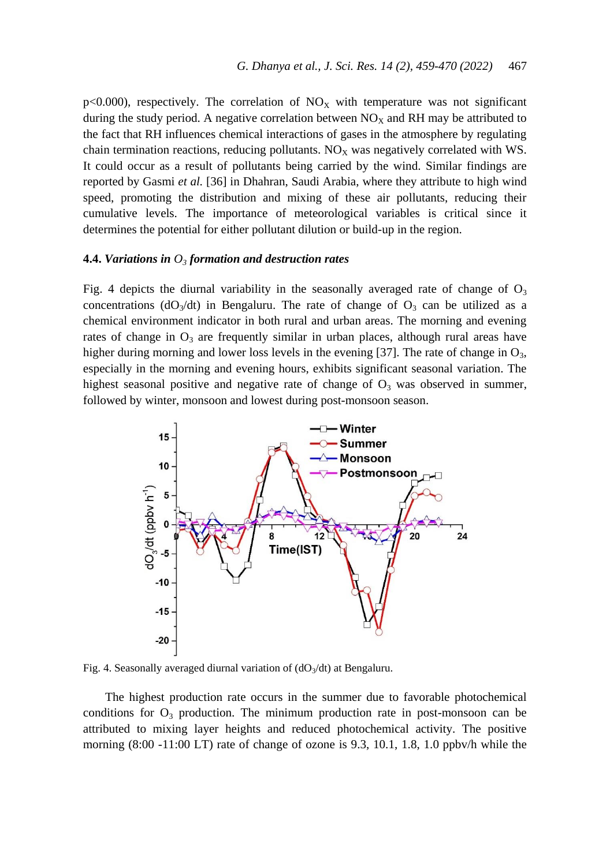$p<0.000$ , respectively. The correlation of  $NO<sub>x</sub>$  with temperature was not significant during the study period. A negative correlation between  $NO<sub>x</sub>$  and RH may be attributed to the fact that RH influences chemical interactions of gases in the atmosphere by regulating chain termination reactions, reducing pollutants.  $NO<sub>x</sub>$  was negatively correlated with WS. It could occur as a result of pollutants being carried by the wind. Similar findings are reported by Gasmi *et al.* [36] in Dhahran, Saudi Arabia, where they attribute to high wind speed, promoting the distribution and mixing of these air pollutants, reducing their cumulative levels. The importance of meteorological variables is critical since it determines the potential for either pollutant dilution or build-up in the region.

#### **4.4.** *Variations in O<sup>3</sup> formation and destruction rates*

Fig. 4 depicts the diurnal variability in the seasonally averaged rate of change of  $O_3$ concentrations ( $dO_3/dt$ ) in Bengaluru. The rate of change of  $O_3$  can be utilized as a chemical environment indicator in both rural and urban areas. The morning and evening rates of change in  $O_3$  are frequently similar in urban places, although rural areas have higher during morning and lower loss levels in the evening [37]. The rate of change in  $O_3$ , especially in the morning and evening hours, exhibits significant seasonal variation. The highest seasonal positive and negative rate of change of  $O_3$  was observed in summer, followed by winter, monsoon and lowest during post-monsoon season.



Fig. 4. Seasonally averaged diurnal variation of  $(dO<sub>3</sub>/dt)$  at Bengaluru.

The highest production rate occurs in the summer due to favorable photochemical conditions for  $O_3$  production. The minimum production rate in post-monsoon can be attributed to mixing layer heights and reduced photochemical activity. The positive morning (8:00 -11:00 LT) rate of change of ozone is 9.3, 10.1, 1.8, 1.0 ppbv/h while the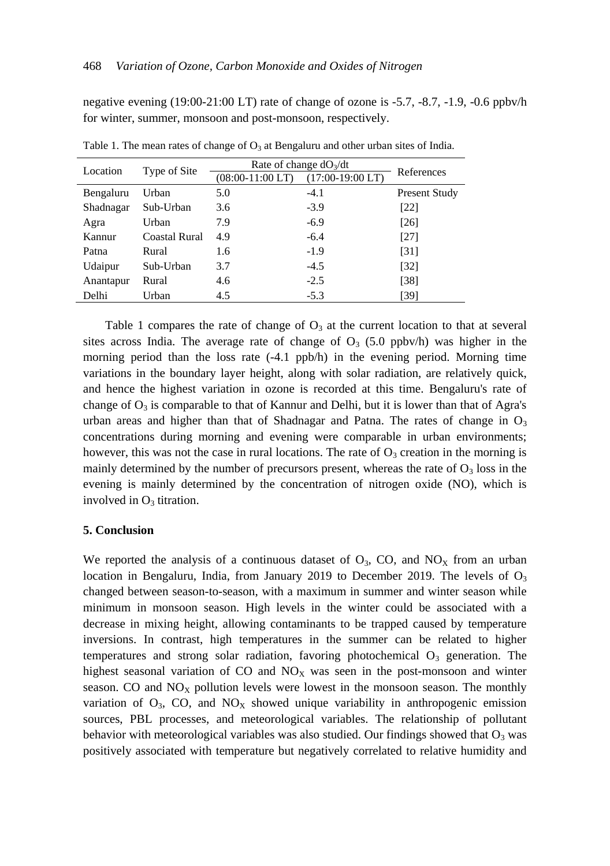negative evening (19:00-21:00 LT) rate of change of ozone is -5.7, -8.7, -1.9, -0.6 ppbv/h for winter, summer, monsoon and post-monsoon, respectively.

| Location  | Type of Site  | Rate of change $dO_3/dt$ |                    |                   |
|-----------|---------------|--------------------------|--------------------|-------------------|
|           |               | $(08:00-11:00LT)$        | $(17:00-19:00 LT)$ | References        |
| Bengaluru | Urban         | 5.0                      | $-4.1$             | Present Study     |
| Shadnagar | Sub-Urban     | 3.6                      | $-3.9$             | [22]              |
| Agra      | Urban         | 7.9                      | $-6.9$             | [26]              |
| Kannur    | Coastal Rural | 4.9                      | $-6.4$             | [27]              |
| Patna     | Rural         | 1.6                      | $-1.9$             | [31]              |
| Udaipur   | Sub-Urban     | 3.7                      | $-4.5$             | $\left[32\right]$ |
| Anantapur | Rural         | 4.6                      | $-2.5$             | [38]              |
| Delhi     | Urban         | 4.5                      | $-5.3$             | [39]              |

Table 1. The mean rates of change of  $O_3$  at Bengaluru and other urban sites of India.

Table 1 compares the rate of change of  $O_3$  at the current location to that at several sites across India. The average rate of change of  $O_3$  (5.0 ppbv/h) was higher in the morning period than the loss rate  $(-4.1 \text{ pb/h})$  in the evening period. Morning time variations in the boundary layer height, along with solar radiation, are relatively quick, and hence the highest variation in ozone is recorded at this time. Bengaluru's rate of change of  $O_3$  is comparable to that of Kannur and Delhi, but it is lower than that of Agra's urban areas and higher than that of Shadnagar and Patna. The rates of change in  $O_3$ concentrations during morning and evening were comparable in urban environments; however, this was not the case in rural locations. The rate of  $O_3$  creation in the morning is mainly determined by the number of precursors present, whereas the rate of  $O_3$  loss in the evening is mainly determined by the concentration of nitrogen oxide (NO), which is involved in  $O_3$  titration.

## **5. Conclusion**

We reported the analysis of a continuous dataset of  $O_3$ , CO, and NO<sub>X</sub> from an urban location in Bengaluru, India, from January 2019 to December 2019. The levels of  $O<sub>3</sub>$ changed between season-to-season, with a maximum in summer and winter season while minimum in monsoon season. High levels in the winter could be associated with a decrease in mixing height, allowing contaminants to be trapped caused by temperature inversions. In contrast, high temperatures in the summer can be related to higher temperatures and strong solar radiation, favoring photochemical  $O_3$  generation. The highest seasonal variation of  $CO$  and  $NO<sub>X</sub>$  was seen in the post-monsoon and winter season. CO and  $NO<sub>X</sub>$  pollution levels were lowest in the monsoon season. The monthly variation of  $O_3$ , CO, and  $NO<sub>X</sub>$  showed unique variability in anthropogenic emission sources, PBL processes, and meteorological variables. The relationship of pollutant behavior with meteorological variables was also studied. Our findings showed that  $O_3$  was positively associated with temperature but negatively correlated to relative humidity and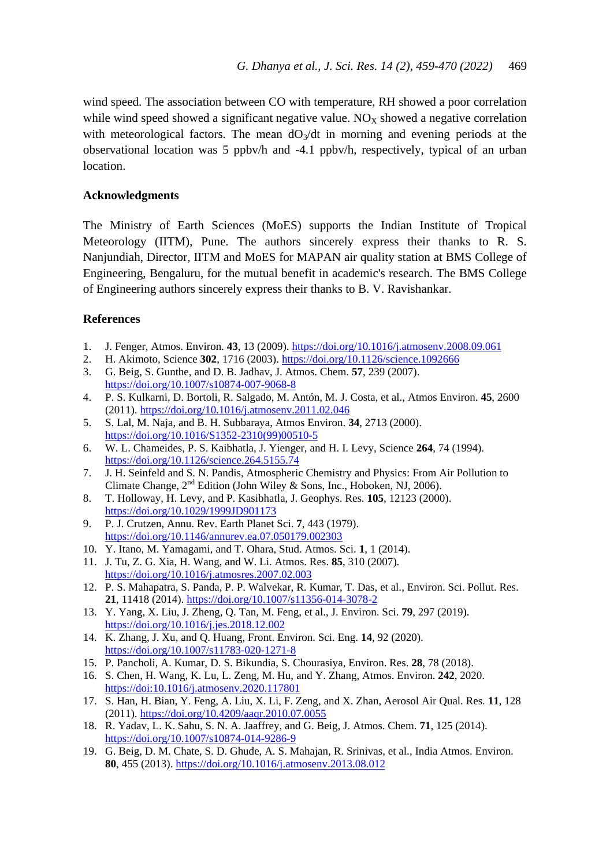wind speed. The association between CO with temperature, RH showed a poor correlation while wind speed showed a significant negative value.  $NO<sub>x</sub>$  showed a negative correlation with meteorological factors. The mean  $dO_3/dt$  in morning and evening periods at the observational location was 5 ppbv/h and -4.1 ppbv/h, respectively, typical of an urban location.

# **Acknowledgments**

The Ministry of Earth Sciences (MoES) supports the Indian Institute of Tropical Meteorology (IITM), Pune. The authors sincerely express their thanks to R. S. Nanjundiah, Director, IITM and MoES for MAPAN air quality station at BMS College of Engineering, Bengaluru, for the mutual benefit in academic's research. The BMS College of Engineering authors sincerely express their thanks to B. V. Ravishankar.

# **References**

- 1. J. Fenger, Atmos. Environ. **43**, 13 (2009). <https://doi.org/10.1016/j.atmosenv.2008.09.061>
- 2. H. Akimoto, Science **302**, 1716 (2003). <https://doi.org/10.1126/science.1092666>
- 3. G. Beig, S. Gunthe, and D. B. Jadhav, J. Atmos. Chem. **57**, 239 (2007). <https://doi.org/10.1007/s10874-007-9068-8>
- 4. P. S. Kulkarni, D. Bortoli, R. Salgado, M. Antón, M. J. Costa, et al., Atmos Environ. **45**, 2600 (2011). <https://doi.org/10.1016/j.atmosenv.2011.02.046>
- 5. S. Lal, M. Naja, and B. H. Subbaraya, Atmos Environ. **34**, 2713 (2000). [https://doi.org/10.1016/S1352-2310\(99\)00510-5](https://doi.org/10.1016/S1352-2310(99)00510-5)
- 6. W. L. Chameides, P. S. Kaibhatla, J. Yienger, and H. I. Levy, Science **264**, 74 (1994). <https://doi.org/10.1126/science.264.5155.74>
- 7. J. H. Seinfeld and S. N. Pandis, Atmospheric Chemistry and Physics: From Air Pollution to Climate Change,  $2^{nd}$  Edition (John Wiley & Sons, Inc., Hoboken, NJ, 2006).
- 8. T. Holloway, H. Levy, and P. Kasibhatla, J. Geophys. Res. **105**, 12123 (2000). <https://doi.org/10.1029/1999JD901173>
- 9. P. J. Crutzen, Annu. Rev. Earth Planet Sci. **7**, 443 (1979). <https://doi.org/10.1146/annurev.ea.07.050179.002303>
- 10. Y. Itano, M. Yamagami, and T. Ohara, Stud. Atmos. Sci. **1**, 1 (2014).
- 11. J. Tu, Z. G. Xia, H. Wang, and W. Li. Atmos. Res. **85**, 310 (2007). <https://doi.org/10.1016/j.atmosres.2007.02.003>
- 12. P. S. Mahapatra, S. Panda, P. P. Walvekar, R. Kumar, T. Das, et al., Environ. Sci. Pollut. Res. **21**, 11418 (2014).<https://doi.org/10.1007/s11356-014-3078-2>
- 13. Y. Yang, X. Liu, J. Zheng, Q. Tan, M. Feng, et al., J. Environ. Sci. **79**, 297 (2019). <https://doi.org/10.1016/j.jes.2018.12.002>
- 14. K. Zhang, J. Xu, and Q. Huang, Front. Environ. Sci. Eng. **14**, 92 (2020). <https://doi.org/10.1007/s11783-020-1271-8>
- 15. P. Pancholi, A. Kumar, D. S. Bikundia, S. Chourasiya, Environ. Res. **28**, 78 (2018).
- 16. S. Chen, H. Wang, K. Lu, L. Zeng, M. Hu, and Y. Zhang, Atmos. Environ. **242**, 2020. <https://doi:10.1016/j.atmosenv.2020.117801>
- 17. S. Han, H. Bian, Y. Feng, A. Liu, X. Li, F. Zeng, and X. Zhan, Aerosol Air Qual. Res. **11**, 128 (2011). <https://doi.org/10.4209/aaqr.2010.07.0055>
- 18. R. Yadav, L. K. Sahu, S. N. A. Jaaffrey, and G. Beig, J. Atmos. Chem. **71**, 125 (2014). <https://doi.org/10.1007/s10874-014-9286-9>
- 19. G. Beig, D. M. Chate, S. D. Ghude, A. S. Mahajan, R. Srinivas, et al., India Atmos. Environ. **80**, 455 (2013). <https://doi.org/10.1016/j.atmosenv.2013.08.012>